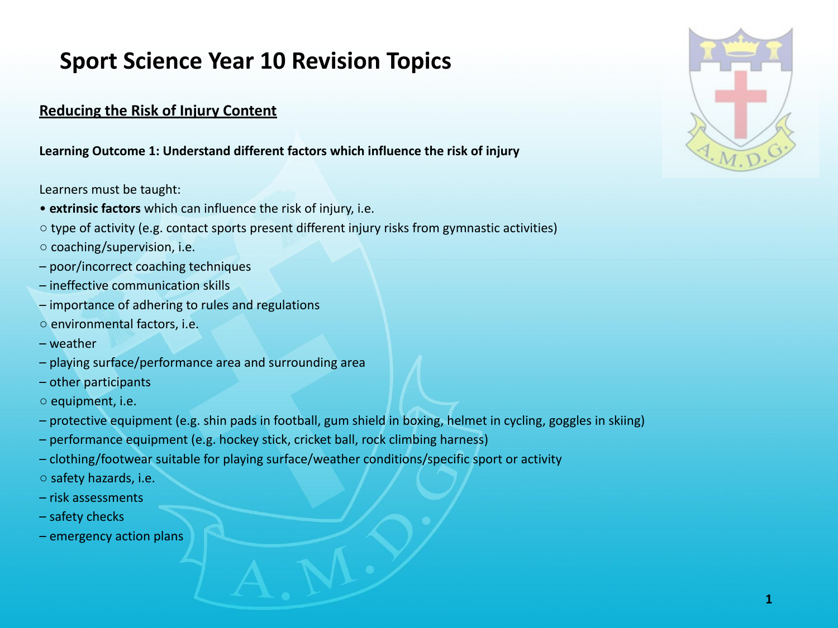# **Sport Science Year 10 Revision Topics**

# **Reducing the Risk of Injury Content**

**Learning Outcome 1: Understand different factors which influence the risk of injury**

Learners must be taught:

- • **extrinsic factors** which can influence the risk of injury, i.e.
- type of activity (e.g. contact sports present different injury risks from gymnastic activities)
- coaching/supervision, i.e.
- poor/incorrect coaching techniques
- ineffective communication skills
- importance of adhering to rules and regulations
- environmental factors, i.e.
- weather
- playing surface/performance area and surrounding area
- other participants
- equipment, i.e.
- protective equipment (e.g. shin pads in football, gum shield in boxing, helmet in cycling, goggles in skiing)
- performance equipment (e.g. hockey stick, cricket ball, rock climbing harness)
- clothing/footwear suitable for playing surface/weather conditions/specific sport or activity
- safety hazards, i.e.
- risk assessments
- safety checks
- emergency action plans

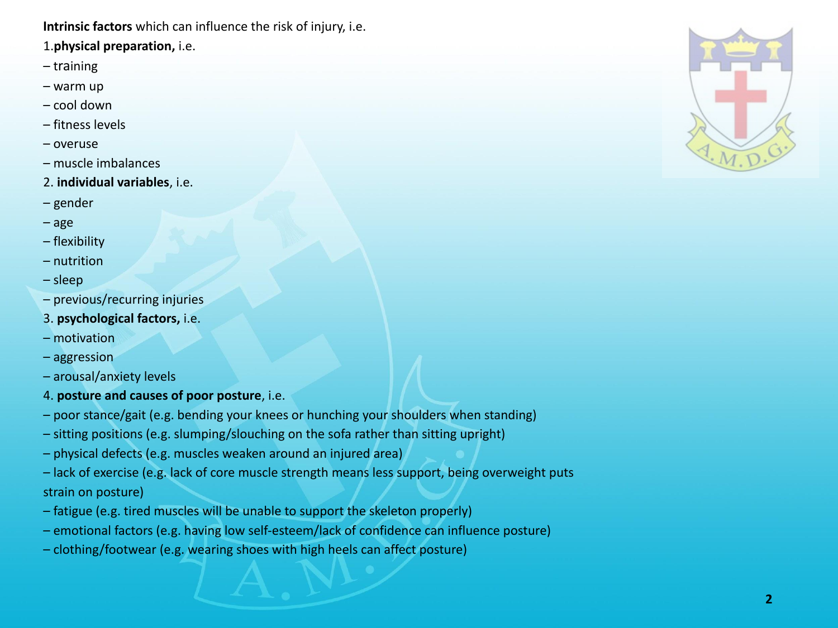**Intrinsic factors** which can influence the risk of injury, i.e.

## 1.**physical preparation,** i.e.

- training
- warm up
- cool down
- fitness levels
- overuse
- muscle imbalances
- 2. **individual variables**, i.e.
- gender
- age
- flexibility
- nutrition
- sleep
- previous/recurring injuries
- 3. **psychological factors,** i.e.
- motivation
- aggression
- arousal/anxiety levels
- 4. **posture and causes of poor posture**, i.e.
- poor stance/gait (e.g. bending your knees or hunching your shoulders when standing)
- sitting positions (e.g. slumping/slouching on the sofa rather than sitting upright)
- physical defects (e.g. muscles weaken around an injured area)
- lack of exercise (e.g. lack of core muscle strength means less support, being overweight puts strain on posture)
- fatigue (e.g. tired muscles will be unable to support the skeleton properly)
- emotional factors (e.g. having low self-esteem/lack of confidence can influence posture)
- clothing/footwear (e.g. wearing shoes with high heels can affect posture)

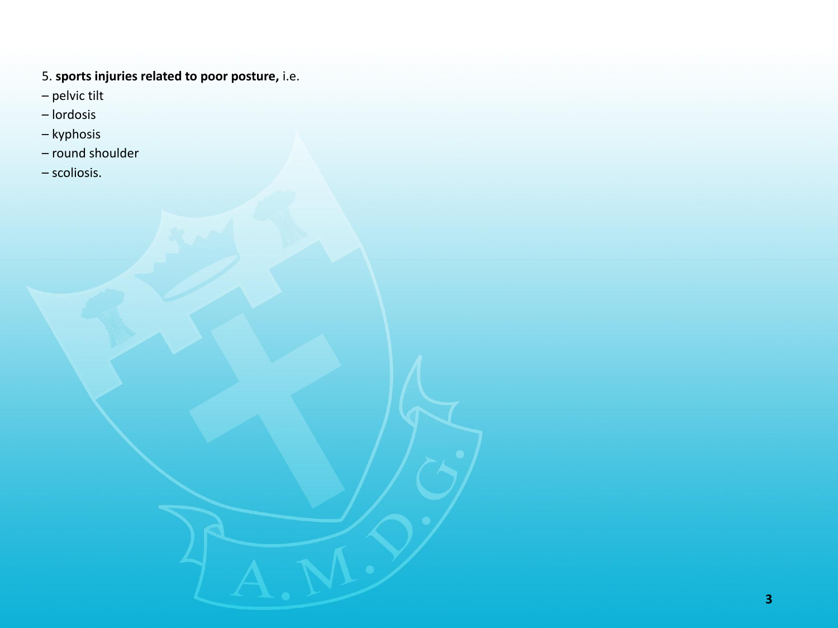- 5. **sports injuries related to poor posture,** i.e.
- pelvic tilt
- lordosis
- kyphosis
- round shoulder
- scoliosis.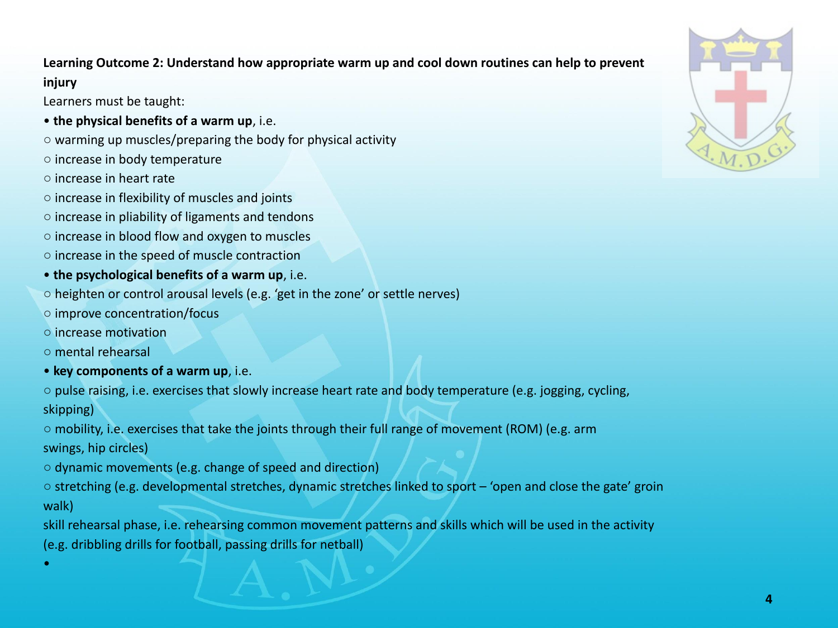# **Learning Outcome 2: Understand how appropriate warm up and cool down routines can help to prevent injury**

Learners must be taught:

- **the physical benefits of a warm up**, i.e.
- warming up muscles/preparing the body for physical activity
- increase in body temperature
- increase in heart rate
- increase in flexibility of muscles and joints
- increase in pliability of ligaments and tendons
- increase in blood flow and oxygen to muscles
- increase in the speed of muscle contraction
- **the psychological benefits of a warm up**, i.e.
- heighten or control arousal levels (e.g. 'get in the zone' or settle nerves)
- improve concentration/focus
- increase motivation
- mental rehearsal

•

• **key components of a warm up**, i.e.

○ pulse raising, i.e. exercises that slowly increase heart rate and body temperature (e.g. jogging, cycling, skipping)

 $\circ$  mobility, i.e. exercises that take the joints through their full range of movement (ROM) (e.g. arm swings, hip circles)

- dynamic movements (e.g. change of speed and direction)
- stretching (e.g. developmental stretches, dynamic stretches linked to sport 'open and close the gate' groin walk)
- skill rehearsal phase, i.e. rehearsing common movement patterns and skills which will be used in the activity (e.g. dribbling drills for football, passing drills for netball)

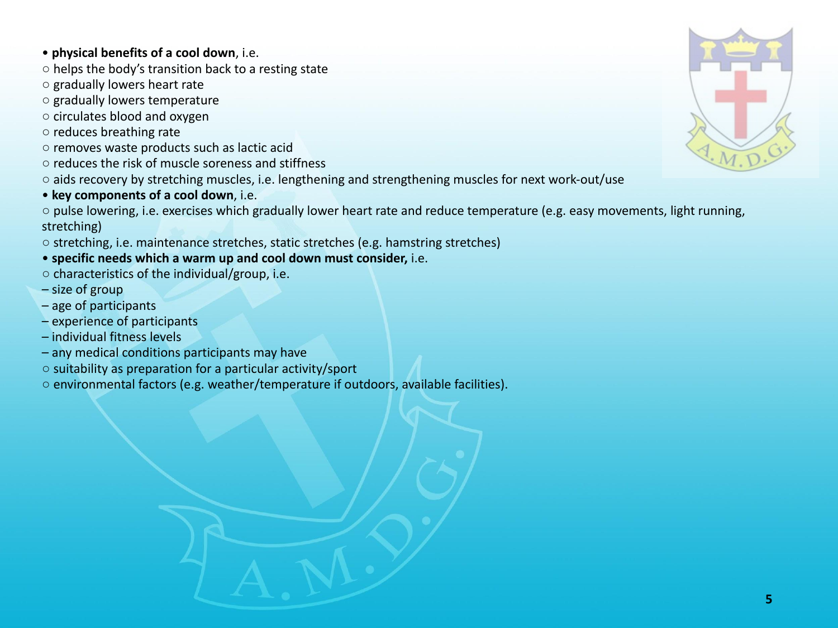#### • **physical benefits of a cool down**, i.e.

○ helps the body's transition back to a resting state

- gradually lowers heart rate
- gradually lowers temperature
- circulates blood and oxygen
- reduces breathing rate
- removes waste products such as lactic acid
- reduces the risk of muscle soreness and stiffness
- aids recovery by stretching muscles, i.e. lengthening and strengthening muscles for next work-out/use
- • **key components of a cool down**, i.e.

○ pulse lowering, i.e. exercises which gradually lower heart rate and reduce temperature (e.g. easy movements, light running, stretching)

- stretching, i.e. maintenance stretches, static stretches (e.g. hamstring stretches)
- **specific needs which a warm up and cool down must consider,** i.e.
- characteristics of the individual/group, i.e.
- size of group
- age of participants
- experience of participants
- individual fitness levels
- any medical conditions participants may have
- suitability as preparation for a particular activity/sport
- environmental factors (e.g. weather/temperature if outdoors, available facilities).

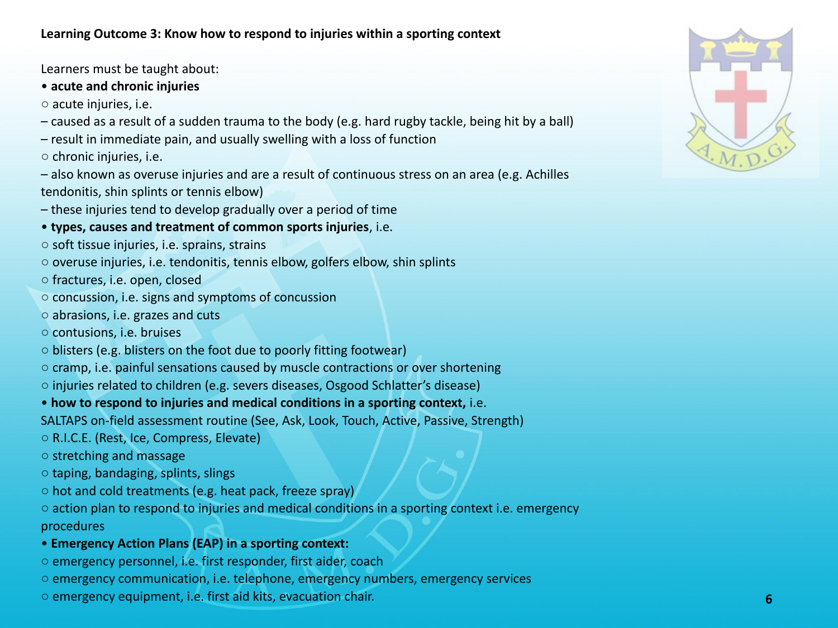Learners must be taught about:

## • **acute and chronic injuries**

- acute injuries, i.e.
- caused as a result of a sudden trauma to the body (e.g. hard rugby tackle, being hit by a ball)
- result in immediate pain, and usually swelling with a loss of function
- chronic injuries, i.e.
- also known as overuse injuries and are a result of continuous stress on an area (e.g. Achilles tendonitis, shin splints or tennis elbow)
- these injuries tend to develop gradually over a period of time
- • **types, causes and treatment of common sports injuries**, i.e.
- soft tissue injuries, i.e. sprains, strains
- overuse injuries, i.e. tendonitis, tennis elbow, golfers elbow, shin splints
- fractures, i.e. open, closed
- concussion, i.e. signs and symptoms of concussion
- abrasions, i.e. grazes and cuts
- contusions, i.e. bruises
- $\circ$  blisters (e.g. blisters on the foot due to poorly fitting footwear)
- cramp, i.e. painful sensations caused by muscle contractions or over shortening
- injuries related to children (e.g. severs diseases, Osgood Schlatter's disease)
- • **how to respond to injuries and medical conditions in a sporting context,** i.e.
- SALTAPS on-field assessment routine (See, Ask, Look, Touch, Active, Passive, Strength)
- R.I.C.E. (Rest, Ice, Compress, Elevate)
- stretching and massage
- taping, bandaging, splints, slings
- hot and cold treatments (e.g. heat pack, freeze spray)
- $\circ$  action plan to respond to injuries and medical conditions in a sporting context i.e. emergency procedures

# • **Emergency Action Plans (EAP) in a sporting context:**

- emergency personnel, i.e. first responder, first aider, coach
- emergency communication, i.e. telephone, emergency numbers, emergency services
- emergency equipment, i.e. first aid kits, evacuation chair. **6**